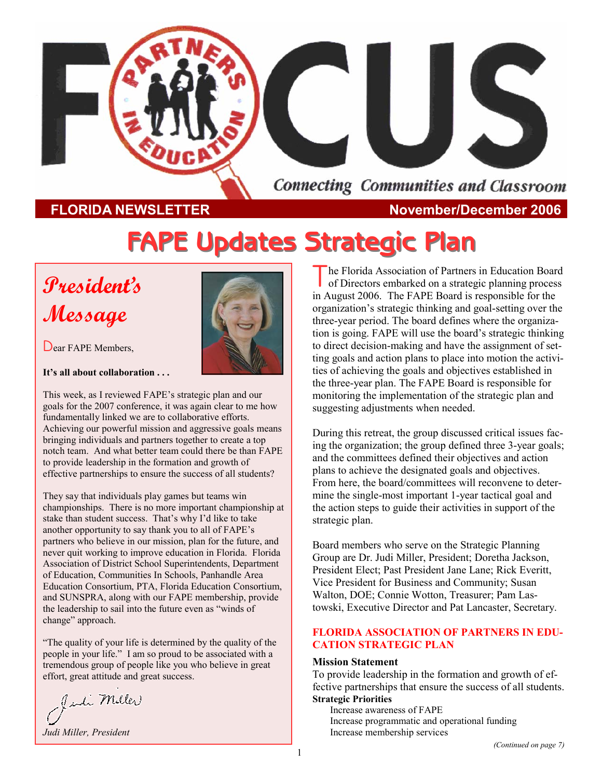

**FLORIDA NEWSLETTER November/December 2006** 

# **FAPE Updates Strategic Plan FAPE Updates Strategic Plan**

# **President's Message**



Dear FAPE Members.

**It's all about collaboration . . .**

This week, as I reviewed FAPE's strategic plan and our goals for the 2007 conference, it was again clear to me how fundamentally linked we are to collaborative efforts. Achieving our powerful mission and aggressive goals means bringing individuals and partners together to create a top notch team. And what better team could there be than FAPE to provide leadership in the formation and growth of effective partnerships to ensure the success of all students?

They say that individuals play games but teams win championships. There is no more important championship at stake than student success. That's why I'd like to take another opportunity to say thank you to all of FAPE's partners who believe in our mission, plan for the future, and never quit working to improve education in Florida. Florida Association of District School Superintendents, Department of Education, Communities In Schools, Panhandle Area Education Consortium, PTA, Florida Education Consortium, and SUNSPRA, along with our FAPE membership, provide the leadership to sail into the future even as "winds of change" approach.

"The quality of your life is determined by the quality of the people in your life." I am so proud to be associated with a tremendous group of people like you who believe in great effort, great attitude and great success.

Juli Miller

*Judi Miller, President* 

he Florida Association of Partners in Education Board of Directors embarked on a strategic planning process in August 2006. The FAPE Board is responsible for the organization's strategic thinking and goal-setting over the three-year period. The board defines where the organization is going. FAPE will use the board's strategic thinking to direct decision-making and have the assignment of setting goals and action plans to place into motion the activities of achieving the goals and objectives established in the three-year plan. The FAPE Board is responsible for monitoring the implementation of the strategic plan and suggesting adjustments when needed.

During this retreat, the group discussed critical issues facing the organization; the group defined three 3-year goals; and the committees defined their objectives and action plans to achieve the designated goals and objectives. From here, the board/committees will reconvene to determine the single-most important 1-year tactical goal and the action steps to guide their activities in support of the strategic plan.

Board members who serve on the Strategic Planning Group are Dr. Judi Miller, President; Doretha Jackson, President Elect; Past President Jane Lane; Rick Everitt, Vice President for Business and Community; Susan Walton, DOE; Connie Wotton, Treasurer; Pam Lastowski, Executive Director and Pat Lancaster, Secretary.

#### **FLORIDA ASSOCIATION OF PARTNERS IN EDU-CATION STRATEGIC PLAN**

#### **Mission Statement**

To provide leadership in the formation and growth of effective partnerships that ensure the success of all students. **Strategic Priorities** 

Increase awareness of FAPE Increase programmatic and operational funding Increase membership services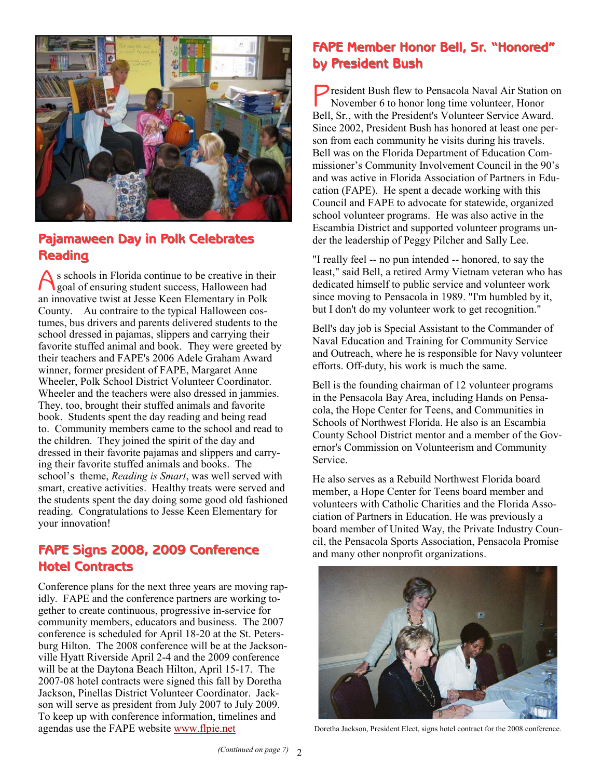

## **Pajamaween Day in Polk Celebrates Reading Reading**

A s schools in Florida continue to be creative in their goal of ensuring student success, Halloween had an innovative twist at Jesse Keen Elementary in Polk County. Au contraire to the typical Halloween costumes, bus drivers and parents delivered students to the school dressed in pajamas, slippers and carrying their favorite stuffed animal and book. They were greeted by their teachers and FAPE's 2006 Adele Graham Award winner, former president of FAPE, Margaret Anne Wheeler, Polk School District Volunteer Coordinator. Wheeler and the teachers were also dressed in jammies. They, too, brought their stuffed animals and favorite book. Students spent the day reading and being read to. Community members came to the school and read to the children. They joined the spirit of the day and dressed in their favorite pajamas and slippers and carrying their favorite stuffed animals and books. The school's theme, *Reading is Smart*, was well served with smart, creative activities. Healthy treats were served and the students spent the day doing some good old fashioned reading. Congratulations to Jesse Keen Elementary for your innovation!

# **Hotel Contracts Hotel Contracts**

Conference plans for the next three years are moving rapidly. FAPE and the conference partners are working together to create continuous, progressive in-service for community members, educators and business. The 2007 conference is scheduled for April 18-20 at the St. Petersburg Hilton. The 2008 conference will be at the Jacksonville Hyatt Riverside April 2-4 and the 2009 conference will be at the Daytona Beach Hilton, April 15-17. The 2007-08 hotel contracts were signed this fall by Doretha Jackson, Pinellas District Volunteer Coordinator. Jackson will serve as president from July 2007 to July 2009. To keep up with conference information, timelines and agendas use the FAPE website www.flpie.net

# **FAPE Member Honor Bell, Sr. "Honored" by President Bush by President Bush**

**P** resident Bush flew to Pensacola Naval Air Station on November 6 to honor long time volunteer, Honor Bell, Sr., with the President's Volunteer Service Award. Since 2002, President Bush has honored at least one person from each community he visits during his travels. Bell was on the Florida Department of Education Commissioner's Community Involvement Council in the 90's and was active in Florida Association of Partners in Education (FAPE). He spent a decade working with this Council and FAPE to advocate for statewide, organized school volunteer programs. He was also active in the Escambia District and supported volunteer programs under the leadership of Peggy Pilcher and Sally Lee.

"I really feel -- no pun intended -- honored, to say the least," said Bell, a retired Army Vietnam veteran who has dedicated himself to public service and volunteer work since moving to Pensacola in 1989. "I'm humbled by it, but I don't do my volunteer work to get recognition."

Bell's day job is Special Assistant to the Commander of Naval Education and Training for Community Service and Outreach, where he is responsible for Navy volunteer efforts. Off-duty, his work is much the same.

Bell is the founding chairman of 12 volunteer programs in the Pensacola Bay Area, including Hands on Pensacola, the Hope Center for Teens, and Communities in Schools of Northwest Florida. He also is an Escambia County School District mentor and a member of the Governor's Commission on Volunteerism and Community Service.

He also serves as a Rebuild Northwest Florida board member, a Hope Center for Teens board member and volunteers with Catholic Charities and the Florida Association of Partners in Education. He was previously a board member of United Way, the Private Industry Coun-**FAPE Signs 2008, 2009 Conference** FAPE Signs 2008, 2009 Conference and many other nonprofit organizations.



Doretha Jackson, President Elect, signs hotel contract for the 2008 conference.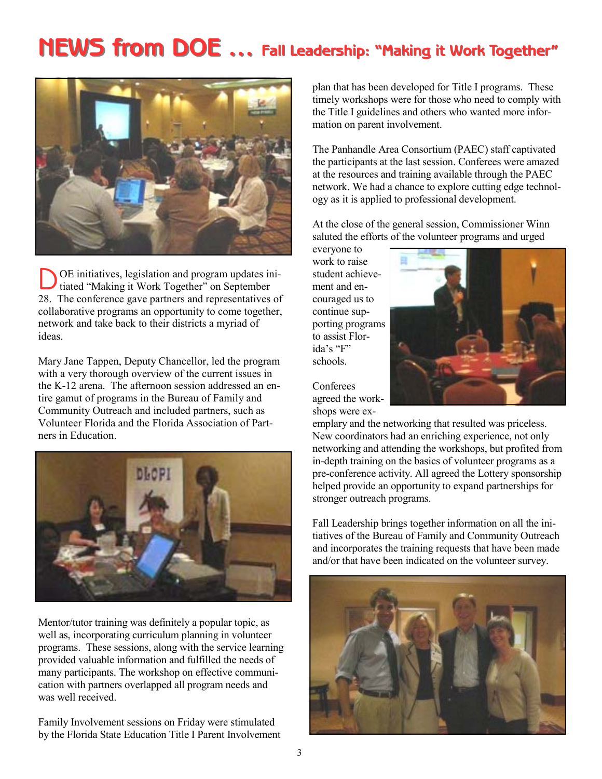# $NEWS$  from DOE ... Fall Leadership: "Making it Work Together"



D OE initiatives, legislation and program updates ini-tiated "Making it Work Together" on September 28. The conference gave partners and representatives of collaborative programs an opportunity to come together, network and take back to their districts a myriad of ideas.

Mary Jane Tappen, Deputy Chancellor, led the program with a very thorough overview of the current issues in the K-12 arena. The afternoon session addressed an entire gamut of programs in the Bureau of Family and Community Outreach and included partners, such as Volunteer Florida and the Florida Association of Partners in Education.



Mentor/tutor training was definitely a popular topic, as well as, incorporating curriculum planning in volunteer programs. These sessions, along with the service learning provided valuable information and fulfilled the needs of many participants. The workshop on effective communication with partners overlapped all program needs and was well received.

Family Involvement sessions on Friday were stimulated by the Florida State Education Title I Parent Involvement plan that has been developed for Title I programs. These timely workshops were for those who need to comply with the Title I guidelines and others who wanted more information on parent involvement.

The Panhandle Area Consortium (PAEC) staff captivated the participants at the last session. Conferees were amazed at the resources and training available through the PAEC network. We had a chance to explore cutting edge technology as it is applied to professional development.

At the close of the general session, Commissioner Winn saluted the efforts of the volunteer programs and urged

everyone to work to raise student achievement and encouraged us to continue supporting programs to assist Florida's "F" schools.

Conferees agreed the workshops were ex-



emplary and the networking that resulted was priceless. New coordinators had an enriching experience, not only networking and attending the workshops, but profited from in-depth training on the basics of volunteer programs as a pre-conference activity. All agreed the Lottery sponsorship helped provide an opportunity to expand partnerships for stronger outreach programs.

Fall Leadership brings together information on all the initiatives of the Bureau of Family and Community Outreach and incorporates the training requests that have been made and/or that have been indicated on the volunteer survey.

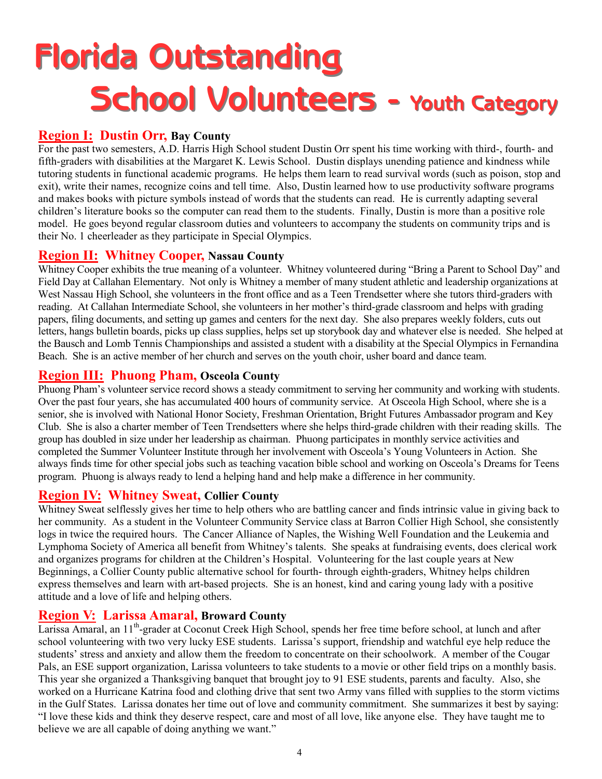# **Florida Outstanding School Volunteers - Youth Category**

## **Region I: Dustin Orr, Bay County**

For the past two semesters, A.D. Harris High School student Dustin Orr spent his time working with third-, fourth- and fifth-graders with disabilities at the Margaret K. Lewis School. Dustin displays unending patience and kindness while tutoring students in functional academic programs. He helps them learn to read survival words (such as poison, stop and exit), write their names, recognize coins and tell time. Also, Dustin learned how to use productivity software programs and makes books with picture symbols instead of words that the students can read. He is currently adapting several children's literature books so the computer can read them to the students. Finally, Dustin is more than a positive role model. He goes beyond regular classroom duties and volunteers to accompany the students on community trips and is their No. 1 cheerleader as they participate in Special Olympics.

## **Region II: Whitney Cooper, Nassau County**

Whitney Cooper exhibits the true meaning of a volunteer. Whitney volunteered during "Bring a Parent to School Day" and Field Day at Callahan Elementary. Not only is Whitney a member of many student athletic and leadership organizations at West Nassau High School, she volunteers in the front office and as a Teen Trendsetter where she tutors third-graders with reading. At Callahan Intermediate School, she volunteers in her mother's third-grade classroom and helps with grading papers, filing documents, and setting up games and centers for the next day. She also prepares weekly folders, cuts out letters, hangs bulletin boards, picks up class supplies, helps set up storybook day and whatever else is needed. She helped at the Bausch and Lomb Tennis Championships and assisted a student with a disability at the Special Olympics in Fernandina Beach. She is an active member of her church and serves on the youth choir, usher board and dance team.

## **Region III: Phuong Pham, Osceola County**

Phuong Pham's volunteer service record shows a steady commitment to serving her community and working with students. Over the past four years, she has accumulated 400 hours of community service. At Osceola High School, where she is a senior, she is involved with National Honor Society, Freshman Orientation, Bright Futures Ambassador program and Key Club. She is also a charter member of Teen Trendsetters where she helps third-grade children with their reading skills. The group has doubled in size under her leadership as chairman. Phuong participates in monthly service activities and completed the Summer Volunteer Institute through her involvement with Osceola's Young Volunteers in Action. She always finds time for other special jobs such as teaching vacation bible school and working on Osceola's Dreams for Teens program. Phuong is always ready to lend a helping hand and help make a difference in her community.

## **Region IV: Whitney Sweat, Collier County**

Whitney Sweat selflessly gives her time to help others who are battling cancer and finds intrinsic value in giving back to her community. As a student in the Volunteer Community Service class at Barron Collier High School, she consistently logs in twice the required hours. The Cancer Alliance of Naples, the Wishing Well Foundation and the Leukemia and Lymphoma Society of America all benefit from Whitney's talents. She speaks at fundraising events, does clerical work and organizes programs for children at the Children's Hospital. Volunteering for the last couple years at New Beginnings, a Collier County public alternative school for fourth- through eighth-graders, Whitney helps children express themselves and learn with art-based projects. She is an honest, kind and caring young lady with a positive attitude and a love of life and helping others.

## **Region V: Larissa Amaral, Broward County**

Larissa Amaral, an 11<sup>th</sup>-grader at Coconut Creek High School, spends her free time before school, at lunch and after school volunteering with two very lucky ESE students. Larissa's support, friendship and watchful eye help reduce the students' stress and anxiety and allow them the freedom to concentrate on their schoolwork. A member of the Cougar Pals, an ESE support organization, Larissa volunteers to take students to a movie or other field trips on a monthly basis. This year she organized a Thanksgiving banquet that brought joy to 91 ESE students, parents and faculty. Also, she worked on a Hurricane Katrina food and clothing drive that sent two Army vans filled with supplies to the storm victims in the Gulf States. Larissa donates her time out of love and community commitment. She summarizes it best by saying: "I love these kids and think they deserve respect, care and most of all love, like anyone else. They have taught me to believe we are all capable of doing anything we want."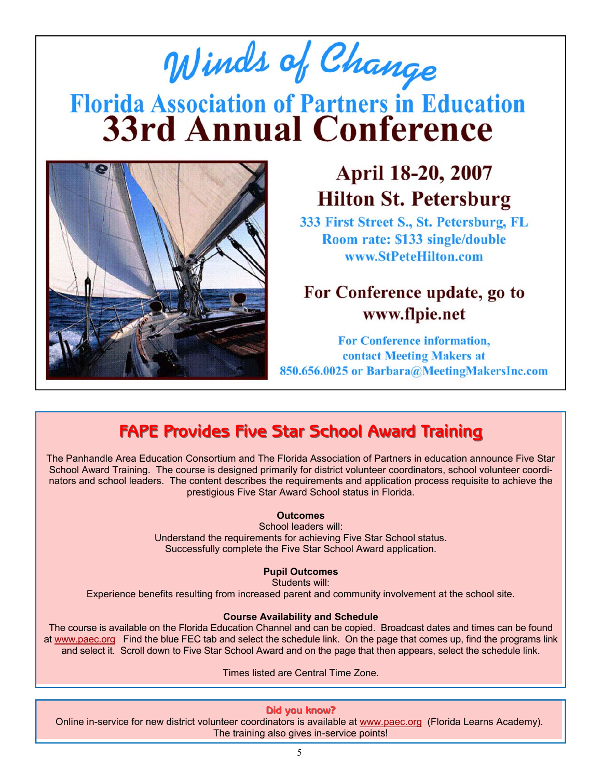# Winds of Change **Florida Association of Partners in Education<br>33rd Annual Conference**



# April 18-20, 2007 **Hilton St. Petersburg**

333 First Street S., St. Petersburg, FL Room rate: \$133 single/double www.StPeteHilton.com

# For Conference update, go to www.flpie.net

For Conference information, contact Meeting Makers at 850.656.0025 or Barbara@MeetingMakersInc.com

# **FAPE Provides Five Star School Award Training FAPE Provides Five Star School Award Training**

The Panhandle Area Education Consortium and The Florida Association of Partners in education announce Five Star School Award Training. The course is designed primarily for district volunteer coordinators, school volunteer coordinators and school leaders. The content describes the requirements and application process requisite to achieve the prestigious Five Star Award School status in Florida.

#### **Outcomes**

School leaders will: Understand the requirements for achieving Five Star School status. Successfully complete the Five Star School Award application.

#### **Pupil Outcomes**

Students will:

Experience benefits resulting from increased parent and community involvement at the school site.

#### **Course Availability and Schedule**

The course is available on the Florida Education Channel and can be copied. Broadcast dates and times can be found at www.paec.org Find the blue FEC tab and select the schedule link. On the page that comes up, find the programs link and select it. Scroll down to Five Star School Award and on the page that then appears, select the schedule link.

Times listed are Central Time Zone.

**Did you know? know?**

Online in-service for new district volunteer coordinators is available at www.paec.org (Florida Learns Academy). The training also gives in-service points!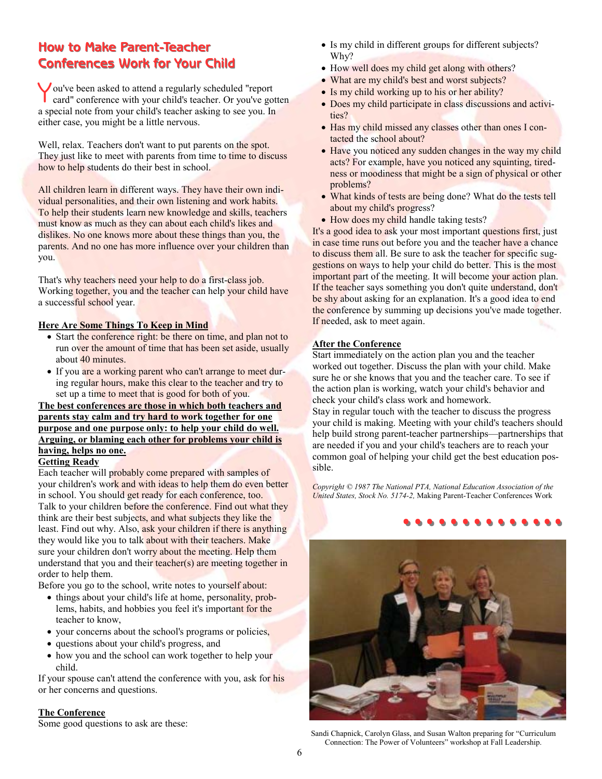## **How to Make Parent-Teacher Conferences Work for Your Child Conferences Work for Your Child**

Y ou've been asked to attend a regularly scheduled "report card" conference with your child's teacher. Or you've gotten a special note from your child's teacher asking to see you. In either case, you might be a little nervous.

Well, relax. Teachers don't want to put parents on the spot. They just like to meet with parents from time to time to discuss how to help students do their best in school.

All children learn in different ways. They have their own individual personalities, and their own listening and work habits. To help their students learn new knowledge and skills, teachers must know as much as they can about each child's likes and dislikes. No one knows more about these things than you, the parents. And no one has more influence over your children than you.

That's why teachers need your help to do a first-class job. Working together, you and the teacher can help your child have a successful school year.

#### **Here Are Some Things To Keep in Mind**

- Start the conference right: be there on time, and plan not to run over the amount of time that has been set aside, usually about 40 minutes.
- If you are a working parent who can't arrange to meet during regular hours, make this clear to the teacher and try to set up a time to meet that is good for both of you.

**The best conferences are those in which both teachers and parents stay calm and try hard to work together for one purpose and one purpose only: to help your child do well. Arguing, or blaming each other for problems your child is having, helps no one.**

#### **Getting Ready**

Each teacher will probably come prepared with samples of your children's work and with ideas to help them do even better in school. You should get ready for each conference, too. Talk to your children before the conference. Find out what they think are their best subjects, and what subjects they like the least. Find out why. Also, ask your children if there is anything they would like you to talk about with their teachers. Make sure your children don't worry about the meeting. Help them understand that you and their teacher(s) are meeting together in order to help them.

Before you go to the school, write notes to yourself about:

- things about your child's life at home, personality, problems, habits, and hobbies you feel it's important for the teacher to know,
- your concerns about the school's programs or policies,
- questions about your child's progress, and
- how you and the school can work together to help your child.

If your spouse can't attend the conference with you, ask for his or her concerns and questions.

#### **The Conference**

Some good questions to ask are these:

- Is my child in different groups for different subjects? Why?
- How well does my child get along with others?
- What are my child's best and worst subjects?
- Is my child working up to his or her ability?
- Does my child participate in class discussions and activities?
- Has my child missed any classes other than ones I contacted the school about?
- Have you noticed any sudden changes in the way my child acts? For example, have you noticed any squinting, tiredness or moodiness that might be a sign of physical or other problems?
- What kinds of tests are being done? What do the tests tell about my child's progress?
- How does my child handle taking tests?

It's a good idea to ask your most important questions first, just in case time runs out before you and the teacher have a chance to discuss them all. Be sure to ask the teacher for specific suggestions on ways to help your child do better. This is the most important part of the meeting. It will become your action plan. If the teacher says something you don't quite understand, don't be shy about asking for an explanation. It's a good idea to end the conference by summing up decisions you've made together. If needed, ask to meet again.

#### **After the Conference**

Start immediately on the action plan you and the teacher worked out together. Discuss the plan with your child. Make sure he or she knows that you and the teacher care. To see if the action plan is working, watch your child's behavior and check your child's class work and homework.

Stay in regular touch with the teacher to discuss the progress your child is making. Meeting with your child's teachers should help build strong parent-teacher partnerships—partnerships that are needed if you and your child's teachers are to reach your common goal of helping your child get the best education possible.

*Copyright © 1987 The National PTA, National Education Association of the United States, Stock No. 5174-2,* Making Parent-Teacher Conferences Work

# +2, Making Patent-Peacher Conferences Work<br>● ● ● ● ● ● ● ● ● ● ● ● ● ● ● ● ●



Sandi Chapnick, Carolyn Glass, and Susan Walton preparing for "Curriculum Connection: The Power of Volunteers" workshop at Fall Leadership.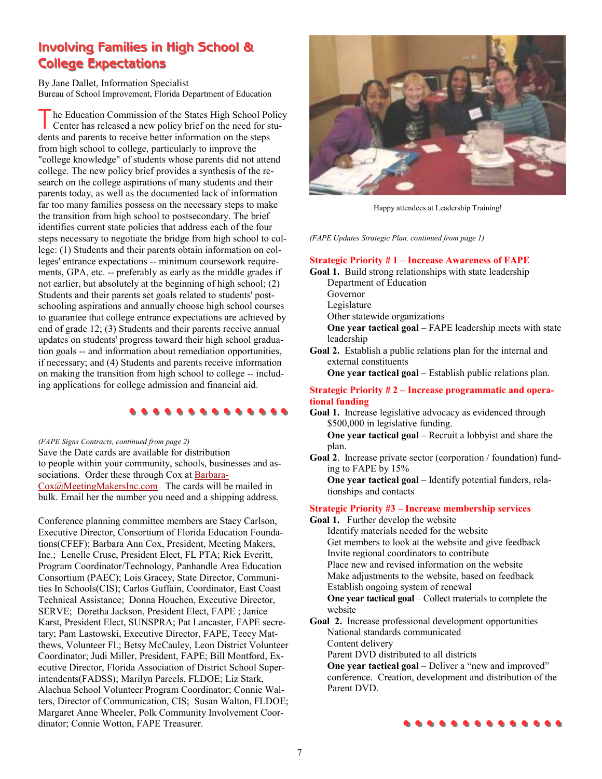## **Involving Families in High School & Involving Families in High School & College Expectations College Expectations**

By Jane Dallet, Information Specialist Bureau of School Improvement, Florida Department of Education

The Education Commission of the States High School Policy Center has released a new policy brief on the need for students and parents to receive better information on the steps from high school to college, particularly to improve the "college knowledge" of students whose parents did not attend college. The new policy brief provides a synthesis of the research on the college aspirations of many students and their parents today, as well as the documented lack of information far too many families possess on the necessary steps to make the transition from high school to postsecondary. The brief identifies current state policies that address each of the four steps necessary to negotiate the bridge from high school to college: (1) Students and their parents obtain information on colleges' entrance expectations -- minimum coursework requirements, GPA, etc. -- preferably as early as the middle grades if not earlier, but absolutely at the beginning of high school; (2) Students and their parents set goals related to students' postschooling aspirations and annually choose high school courses to guarantee that college entrance expectations are achieved by end of grade 12; (3) Students and their parents receive annual updates on students' progress toward their high school graduation goals -- and information about remediation opportunities, if necessary; and (4) Students and parents receive information on making the transition from high school to college -- including applications for college admission and financial aid.

#### **…………..**

Save the Date cards are available for distribution to people within your community, schools, businesses and associations. Order these through Cox at Barbara-Cox@MeetingMakersInc.com The cards will be mailed in bulk. Email her the number you need and a shipping address. *(FAPE Signs Contracts, continued from page 2)* 

Conference planning committee members are Stacy Carlson, Executive Director, Consortium of Florida Education Foundations(CFEF); Barbara Ann Cox, President, Meeting Makers, Inc.; Lenelle Cruse, President Elect, FL PTA; Rick Everitt, Program Coordinator/Technology, Panhandle Area Education Consortium (PAEC); Lois Gracey, State Director, Communities In Schools(CIS); Carlos Guffain, Coordinator, East Coast Technical Assistance; Donna Houchen, Executive Director, SERVE; Doretha Jackson, President Elect, FAPE ; Janice Karst, President Elect, SUNSPRA; Pat Lancaster, FAPE secretary; Pam Lastowski, Executive Director, FAPE, Teecy Matthews, Volunteer Fl.; Betsy McCauley, Leon District Volunteer Coordinator; Judi Miller, President, FAPE; Bill Montford, Executive Director, Florida Association of District School Superintendents(FADSS); Marilyn Parcels, FLDOE; Liz Stark, Alachua School Volunteer Program Coordinator; Connie Walters, Director of Communication, CIS; Susan Walton, FLDOE; Margaret Anne Wheeler, Polk Community Involvement Coordinator; Connie Wotton, FAPE Treasurer.



Happy attendees at Leadership Training!

*(FAPE Updates Strategic Plan, continued from page 1)* 

#### **Strategic Priority # 1 – Increase Awareness of FAPE**

**Goal 1.** Build strong relationships with state leadership Department of Education

- Governor
- Legislature

Other statewide organizations

- **One year tactical goal** FAPE leadership meets with state leadership
- **Goal 2.** Establish a public relations plan for the internal and external constituents

 **One year tactical goal** – Establish public relations plan.

#### **Strategic Priority # 2 – Increase programmatic and operational funding**

**Goal 1.** Increase legislative advocacy as evidenced through \$500,000 in legislative funding.

 **One year tactical goal –** Recruit a lobbyist and share the plan.

**Goal 2**. Increase private sector (corporation / foundation) funding to FAPE by 15%  **One year tactical goal** – Identify potential funders, rela-

tionships and contacts

#### **Strategic Priority #3 – Increase membership services**

- **Goal 1.** Further develop the website Identify materials needed for the website Get members to look at the website and give feedback Invite regional coordinators to contribute Place new and revised information on the website Make adjustments to the website, based on feedback Establish ongoing system of renewal  **One year tactical goal** – Collect materials to complete the website
- **Goal 2.** Increase professional development opportunities National standards communicated Content delivery

Parent DVD distributed to all districts

**One year tactical goal** – Deliver a "new and improved" conference. Creation, development and distribution of the Parent DVD.